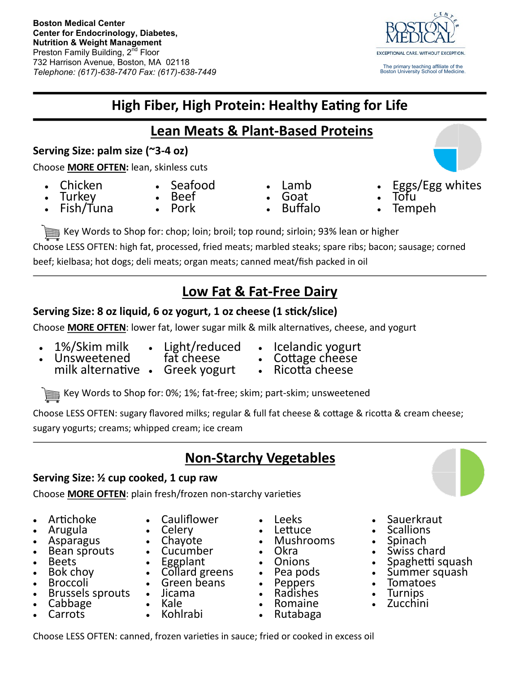

# **High Fiber, High Protein: Healthy Eating for Life**

## **Lean Meats & Plant-Based Proteins**

### **Serving Size: palm size (~3-4 oz)**

Choose **MORE OFTEN:** lean, skinless cuts

• Chicken Turkey

Fish/Tuna

- Seafood
- Beef
	- Pork

Key Words to Shop for: chop; loin; broil; top round; sirloin; 93% lean or higher Choose LESS OFTEN: high fat, processed, fried meats; marbled steaks; spare ribs; bacon; sausage; corned beef; kielbasa; hot dogs; deli meats; organ meats; canned meat/fish packed in oil

# **Low Fat & Fat-Free Dairy**

### **Serving Size: 8 oz liquid, 6 oz yogurt, 1 oz cheese (1 stick/slice)**

Choose **MORE OFTEN**: lower fat, lower sugar milk & milk alternatives, cheese, and yogurt

1%/Skim milk

Unsweetened

milk alternative •

 Light/reduced fat cheese

Greek yogurt

- Icelandic yogurt
- Cottage cheese<br>• Ricotta cheese
- Ricotta cheese

 Lamb Goat

Key Words to Shop for: 0%; 1%; fat-free; skim; part-skim; unsweetened

Choose LESS OFTEN: sugary flavored milks; regular & full fat cheese & cottage & ricotta & cream cheese; sugary yogurts; creams; whipped cream; ice cream

## **Non-Starchy Vegetables**

#### **Serving Size: ½ cup cooked, 1 cup raw**

Choose **MORE OFTEN**: plain fresh/frozen non-starchy varieties

- Artichoke
- Arugula
- Asparagus
- Bean sprouts
- Beets
- Bok choy
- Broccoli
- Brussels sprouts
- Cabbage Carrots
- Cauliflower Celery
- Chayote
- 
- Cucumber
- Eggplant
- Collard greens
- Green beans
- Jicama
- Kale
- Kohlrabi
- Leeks
- Lettuce
- Mushrooms • Okra
- Onions
- Pea pods
- Peppers
- Radishes
- Romaine
- Rutabaga
- Sauerkraut
- Scallions
- Spinach
- Swiss chard
- Spaghetti squash
- Summer squash
- Tomatoes
- Turnips
- Zucchini

Choose LESS OFTEN: canned, frozen varieties in sauce; fried or cooked in excess oil

 Tofu Tempeh

Buffalo